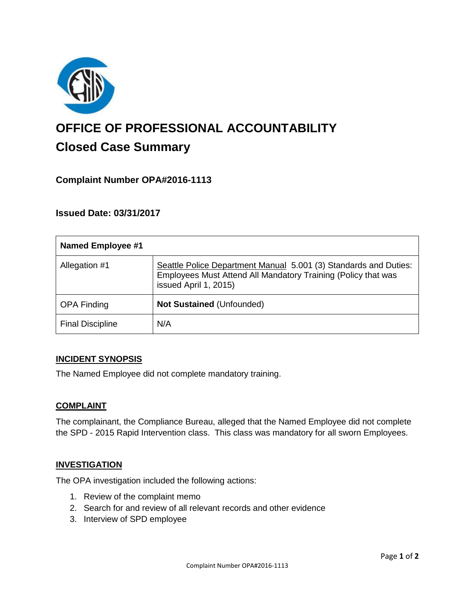

# **OFFICE OF PROFESSIONAL ACCOUNTABILITY Closed Case Summary**

# **Complaint Number OPA#2016-1113**

## **Issued Date: 03/31/2017**

| <b>Named Employee #1</b> |                                                                                                                                                            |
|--------------------------|------------------------------------------------------------------------------------------------------------------------------------------------------------|
| Allegation #1            | Seattle Police Department Manual 5.001 (3) Standards and Duties:<br>Employees Must Attend All Mandatory Training (Policy that was<br>issued April 1, 2015) |
| <b>OPA Finding</b>       | <b>Not Sustained (Unfounded)</b>                                                                                                                           |
| <b>Final Discipline</b>  | N/A                                                                                                                                                        |

#### **INCIDENT SYNOPSIS**

The Named Employee did not complete mandatory training.

#### **COMPLAINT**

The complainant, the Compliance Bureau, alleged that the Named Employee did not complete the SPD - 2015 Rapid Intervention class. This class was mandatory for all sworn Employees.

#### **INVESTIGATION**

The OPA investigation included the following actions:

- 1. Review of the complaint memo
- 2. Search for and review of all relevant records and other evidence
- 3. Interview of SPD employee